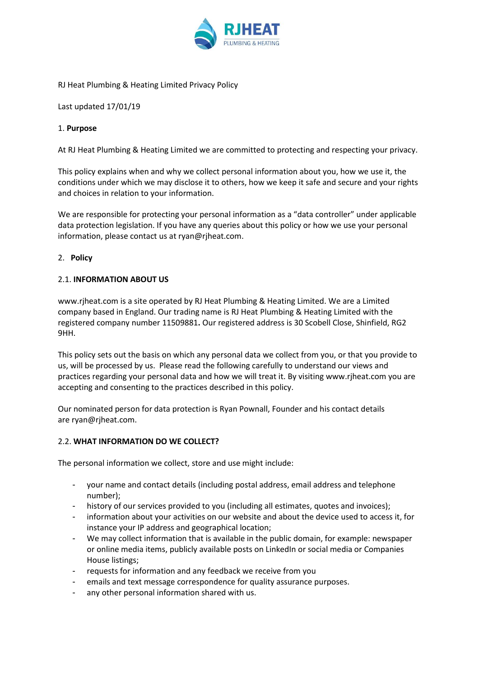

### RJ Heat Plumbing & Heating Limited Privacy Policy

Last updated 17/01/19

## 1. **Purpose**

At RJ Heat Plumbing & Heating Limited we are committed to protecting and respecting your privacy.

This policy explains when and why we collect personal information about you, how we use it, the conditions under which we may disclose it to others, how we keep it safe and secure and your rights and choices in relation to your information.

We are responsible for protecting your personal information as a "data controller" under applicable data protection legislation. If you have any queries about this policy or how we use your personal information, please contact us at ryan@rjheat.com.

#### 2. **Policy**

## 2.1. **INFORMATION ABOUT US**

[www.rjheat.com](http://www.rjheat.com ) is a site operated by RJ Heat Plumbing & Heating Limited. We are a Limited company based in England. Our trading name is RJ Heat Plumbing & Heating Limited with the registered company number 11509881**.** Our registered address is 30 Scobell Close, Shinfield, RG2 9HH.

This policy sets out the basis on which any personal data we collect from you, or that you provide to us, will be processed by us. Please read the following carefully to understand our views and practices regarding your personal data and how we will treat it. By visiting [www.rjheat.com](http://www.rjheat.com ) you are accepting and consenting to the practices described in this policy.

Our nominated person for data protection is Ryan Pownall, Founder and his contact details are [ryan@rjheat.com.](mailto:ryan@rjheat.com)

#### 2.2. **WHAT INFORMATION DO WE COLLECT?**

The personal information we collect, store and use might include:

- your name and contact details (including postal address, email address and telephone number);
- history of our services provided to you (including all estimates, quotes and invoices);
- information about your activities on our website and about the device used to access it, for instance your IP address and geographical location;
- We may collect information that is available in the public domain, for example: newspaper or online media items, publicly available posts on LinkedIn or social media or Companies House listings;
- requests for information and any feedback we receive from you
- emails and text message correspondence for quality assurance purposes.
- any other personal information shared with us.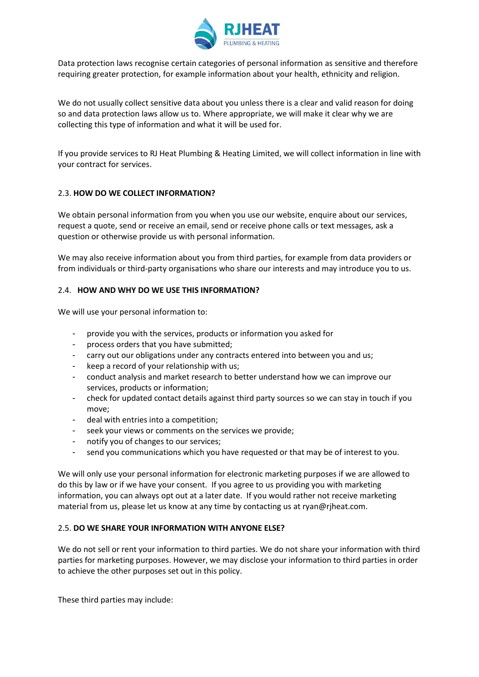

Data protection laws recognise certain categories of personal information as sensitive and therefore requiring greater protection, for example information about your health, ethnicity and religion.

We do not usually collect sensitive data about you unless there is a clear and valid reason for doing so and data protection laws allow us to. Where appropriate, we will make it clear why we are collecting this type of information and what it will be used for.

If you provide services to RJ Heat Plumbing & Heating Limited, we will collect information in line with your contract for services.

## 2.3. **HOW DO WE COLLECT INFORMATION?**

We obtain personal information from you when you use our website, enquire about our services, request a quote, send or receive an email, send or receive phone calls or text messages, ask a question or otherwise provide us with personal information.

We may also receive information about you from third parties, for example from data providers or from individuals or third-party organisations who share our interests and may introduce you to us.

## 2.4. **HOW AND WHY DO WE USE THIS INFORMATION?**

We will use your personal information to:

- provide you with the services, products or information you asked for
- process orders that you have submitted;
- carry out our obligations under any contracts entered into between you and us;
- keep a record of your relationship with us;
- conduct analysis and market research to better understand how we can improve our services, products or information;
- check for updated contact details against third party sources so we can stay in touch if you move;
- deal with entries into a competition:
- seek your views or comments on the services we provide;
- notify you of changes to our services;
- send you communications which you have requested or that may be of interest to you.

We will only use your personal information for electronic marketing purposes if we are allowed to do this by law or if we have your consent. If you agree to us providing you with marketing information, you can always opt out at a later date. If you would rather not receive marketing material from us, please let us know at any time by contacting us at ryan@rjheat.com.

#### 2.5. **DO WE SHARE YOUR INFORMATION WITH ANYONE ELSE?**

We do not sell or rent your information to third parties. We do not share your information with third parties for marketing purposes. However, we may disclose your information to third parties in order to achieve the other purposes set out in this policy.

These third parties may include: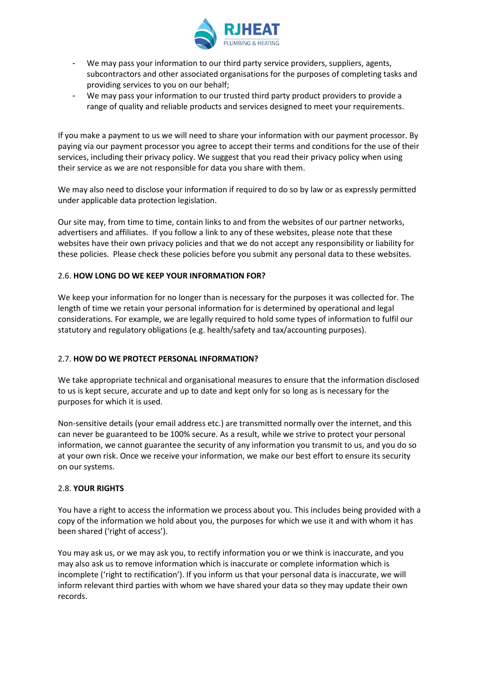

- We may pass your information to our third party service providers, suppliers, agents, subcontractors and other associated organisations for the purposes of completing tasks and providing services to you on our behalf;
- We may pass your information to our trusted third party product providers to provide a range of quality and reliable products and services designed to meet your requirements.

If you make a payment to us we will need to share your information with our payment processor. By paying via our payment processor you agree to accept their terms and conditions for the use of their services, including their privacy policy. We suggest that you read their privacy policy when using their service as we are not responsible for data you share with them.

We may also need to disclose your information if required to do so by law or as expressly permitted under applicable data protection legislation.

Our site may, from time to time, contain links to and from the websites of our partner networks, advertisers and affiliates. If you follow a link to any of these websites, please note that these websites have their own privacy policies and that we do not accept any responsibility or liability for these policies. Please check these policies before you submit any personal data to these websites.

# 2.6. **HOW LONG DO WE KEEP YOUR INFORMATION FOR?**

We keep your information for no longer than is necessary for the purposes it was collected for. The length of time we retain your personal information for is determined by operational and legal considerations. For example, we are legally required to hold some types of information to fulfil our statutory and regulatory obligations (e.g. health/safety and tax/accounting purposes).

# 2.7. **HOW DO WE PROTECT PERSONAL INFORMATION?**

We take appropriate technical and organisational measures to ensure that the information disclosed to us is kept secure, accurate and up to date and kept only for so long as is necessary for the purposes for which it is used.

Non-sensitive details (your email address etc.) are transmitted normally over the internet, and this can never be guaranteed to be 100% secure. As a result, while we strive to protect your personal information, we cannot guarantee the security of any information you transmit to us, and you do so at your own risk. Once we receive your information, we make our best effort to ensure its security on our systems.

# 2.8. **YOUR RIGHTS**

You have a right to access the information we process about you. This includes being provided with a copy of the information we hold about you, the purposes for which we use it and with whom it has been shared ('right of access').

You may ask us, or we may ask you, to rectify information you or we think is inaccurate, and you may also ask us to remove information which is inaccurate or complete information which is incomplete ('right to rectification'). If you inform us that your personal data is inaccurate, we will inform relevant third parties with whom we have shared your data so they may update their own records.